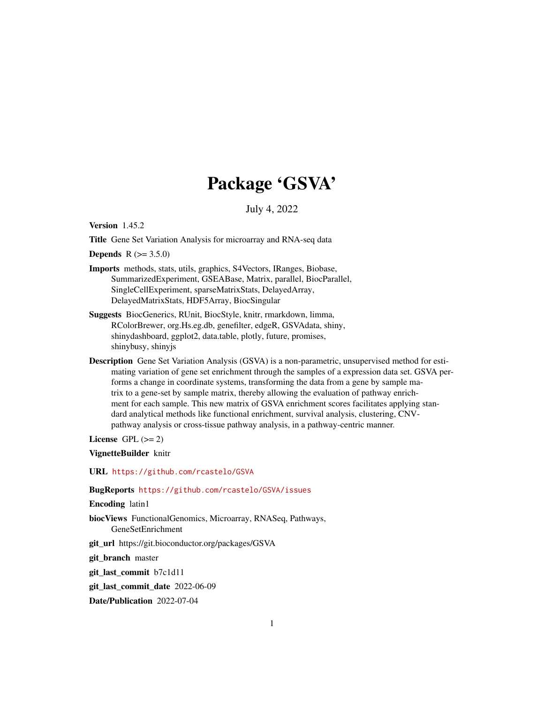# Package 'GSVA'

July 4, 2022

<span id="page-0-0"></span>Version 1.45.2

Title Gene Set Variation Analysis for microarray and RNA-seq data

**Depends**  $R (= 3.5.0)$ 

- Imports methods, stats, utils, graphics, S4Vectors, IRanges, Biobase, SummarizedExperiment, GSEABase, Matrix, parallel, BiocParallel, SingleCellExperiment, sparseMatrixStats, DelayedArray, DelayedMatrixStats, HDF5Array, BiocSingular
- Suggests BiocGenerics, RUnit, BiocStyle, knitr, rmarkdown, limma, RColorBrewer, org.Hs.eg.db, genefilter, edgeR, GSVAdata, shiny, shinydashboard, ggplot2, data.table, plotly, future, promises, shinybusy, shinyjs
- Description Gene Set Variation Analysis (GSVA) is a non-parametric, unsupervised method for estimating variation of gene set enrichment through the samples of a expression data set. GSVA performs a change in coordinate systems, transforming the data from a gene by sample matrix to a gene-set by sample matrix, thereby allowing the evaluation of pathway enrichment for each sample. This new matrix of GSVA enrichment scores facilitates applying standard analytical methods like functional enrichment, survival analysis, clustering, CNVpathway analysis or cross-tissue pathway analysis, in a pathway-centric manner.

License GPL  $(>= 2)$ 

VignetteBuilder knitr

URL <https://github.com/rcastelo/GSVA>

BugReports <https://github.com/rcastelo/GSVA/issues>

Encoding latin1

biocViews FunctionalGenomics, Microarray, RNASeq, Pathways, GeneSetEnrichment

git\_url https://git.bioconductor.org/packages/GSVA

git branch master

git\_last\_commit b7c1d11

git\_last\_commit\_date 2022-06-09

Date/Publication 2022-07-04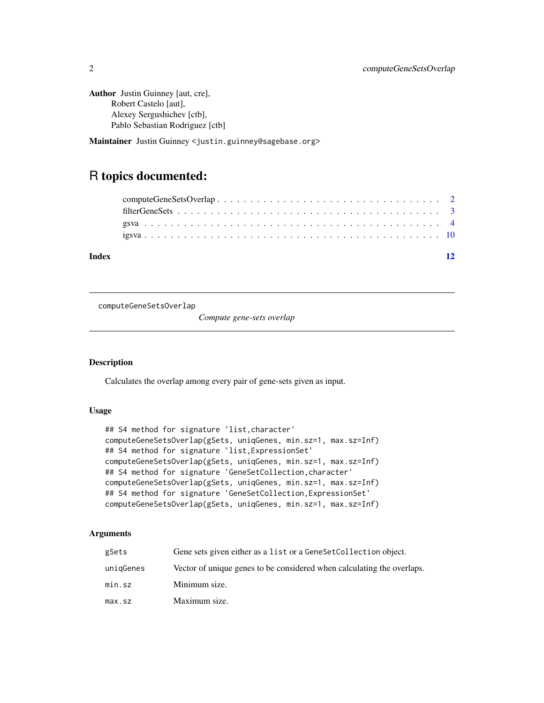```
Author Justin Guinney [aut, cre],
      Robert Castelo [aut],
      Alexey Sergushichev [ctb],
      Pablo Sebastian Rodriguez [ctb]
```
Maintainer Justin Guinney <justin.guinney@sagebase.org>

# R topics documented:

| Index |  |  |  |
|-------|--|--|--|
|       |  |  |  |
|       |  |  |  |
|       |  |  |  |
|       |  |  |  |

<span id="page-1-1"></span>computeGeneSetsOverlap

*Compute gene-sets overlap*

# Description

Calculates the overlap among every pair of gene-sets given as input.

# Usage

```
## S4 method for signature 'list,character'
computeGeneSetsOverlap(gSets, uniqGenes, min.sz=1, max.sz=Inf)
## S4 method for signature 'list,ExpressionSet'
computeGeneSetsOverlap(gSets, uniqGenes, min.sz=1, max.sz=Inf)
## S4 method for signature 'GeneSetCollection, character'
computeGeneSetsOverlap(gSets, uniqGenes, min.sz=1, max.sz=Inf)
## S4 method for signature 'GeneSetCollection,ExpressionSet'
computeGeneSetsOverlap(gSets, uniqGenes, min.sz=1, max.sz=Inf)
```
# Arguments

| gSets     | Gene sets given either as a list or a Gene Set Collection object.      |
|-----------|------------------------------------------------------------------------|
| uniqGenes | Vector of unique genes to be considered when calculating the overlaps. |
| min.sz    | Minimum size.                                                          |
| max.sz    | Maximum size.                                                          |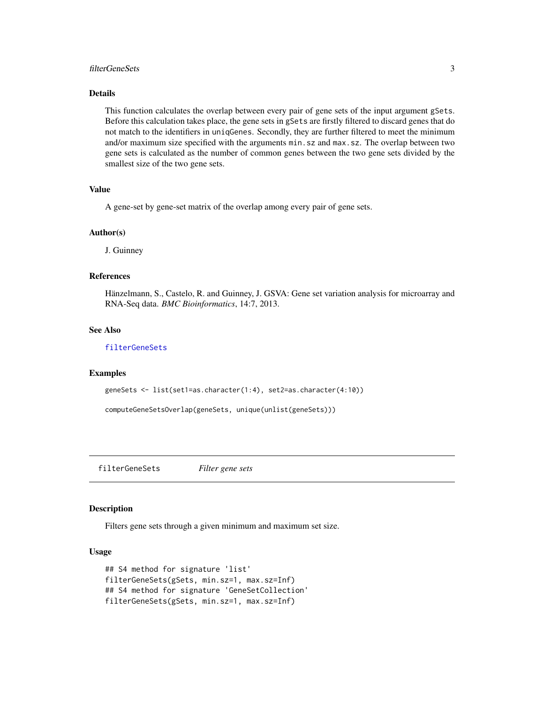### <span id="page-2-0"></span>filterGeneSets 3

### Details

This function calculates the overlap between every pair of gene sets of the input argument gSets. Before this calculation takes place, the gene sets in gSets are firstly filtered to discard genes that do not match to the identifiers in uniqGenes. Secondly, they are further filtered to meet the minimum and/or maximum size specified with the arguments min.sz and max.sz. The overlap between two gene sets is calculated as the number of common genes between the two gene sets divided by the smallest size of the two gene sets.

#### Value

A gene-set by gene-set matrix of the overlap among every pair of gene sets.

#### Author(s)

J. Guinney

#### References

Hänzelmann, S., Castelo, R. and Guinney, J. GSVA: Gene set variation analysis for microarray and RNA-Seq data. *BMC Bioinformatics*, 14:7, 2013.

#### See Also

# [filterGeneSets](#page-2-1)

#### Examples

```
geneSets <- list(set1=as.character(1:4), set2=as.character(4:10))
```
computeGeneSetsOverlap(geneSets, unique(unlist(geneSets)))

<span id="page-2-1"></span>filterGeneSets *Filter gene sets*

#### **Description**

Filters gene sets through a given minimum and maximum set size.

### Usage

```
## S4 method for signature 'list'
filterGeneSets(gSets, min.sz=1, max.sz=Inf)
## S4 method for signature 'GeneSetCollection'
filterGeneSets(gSets, min.sz=1, max.sz=Inf)
```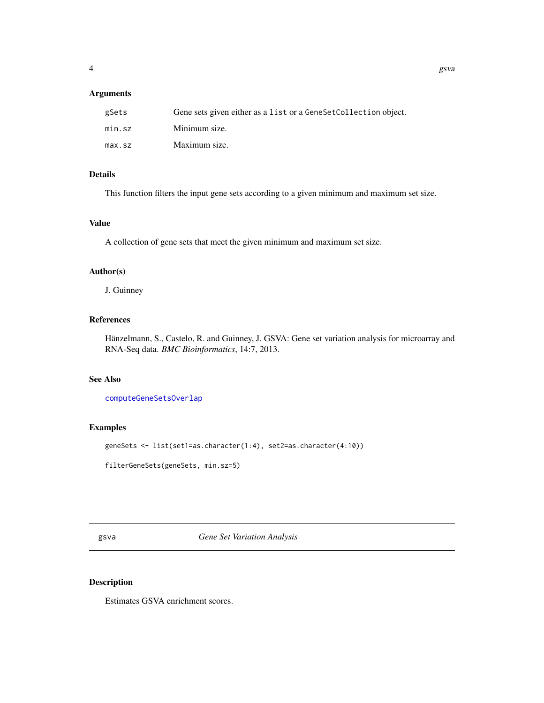# <span id="page-3-0"></span>Arguments

| gSets  | Gene sets given either as a list or a GeneSetCollection object. |
|--------|-----------------------------------------------------------------|
| min.sz | Minimum size.                                                   |
| max.sz | Maximum size.                                                   |

# Details

This function filters the input gene sets according to a given minimum and maximum set size.

# Value

A collection of gene sets that meet the given minimum and maximum set size.

#### Author(s)

J. Guinney

# References

Hänzelmann, S., Castelo, R. and Guinney, J. GSVA: Gene set variation analysis for microarray and RNA-Seq data. *BMC Bioinformatics*, 14:7, 2013.

# See Also

[computeGeneSetsOverlap](#page-1-1)

# Examples

geneSets <- list(set1=as.character(1:4), set2=as.character(4:10))

filterGeneSets(geneSets, min.sz=5)

<span id="page-3-1"></span>gsva *Gene Set Variation Analysis*

# Description

Estimates GSVA enrichment scores.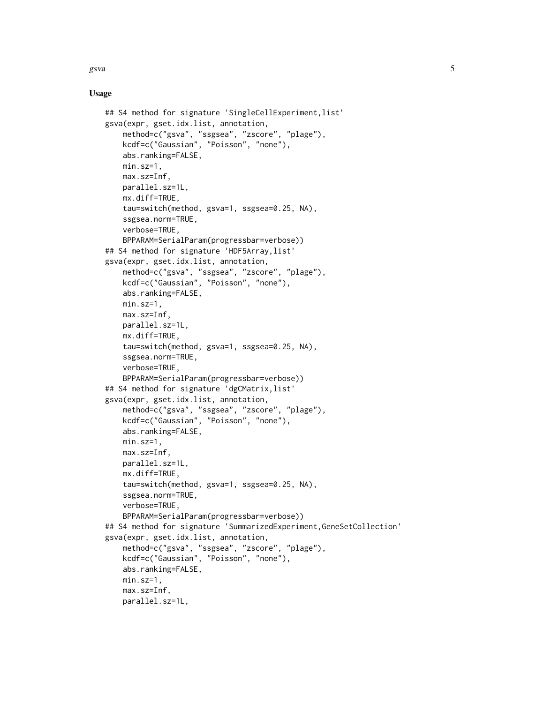$gsva$  5

# Usage

```
## S4 method for signature 'SingleCellExperiment, list'
gsva(expr, gset.idx.list, annotation,
    method=c("gsva", "ssgsea", "zscore", "plage"),
    kcdf=c("Gaussian", "Poisson", "none"),
    abs.ranking=FALSE,
   min.sz=1,
   max.sz=Inf,
    parallel.sz=1L,
   mx.diff=TRUE,
    tau=switch(method, gsva=1, ssgsea=0.25, NA),
    ssgsea.norm=TRUE,
    verbose=TRUE,
    BPPARAM=SerialParam(progressbar=verbose))
## S4 method for signature 'HDF5Array,list'
gsva(expr, gset.idx.list, annotation,
    method=c("gsva", "ssgsea", "zscore", "plage"),
    kcdf=c("Gaussian", "Poisson", "none"),
    abs.ranking=FALSE,
   min.sz=1,
   max.sz=Inf,
    parallel.sz=1L,
    mx.diff=TRUE,
    tau=switch(method, gsva=1, ssgsea=0.25, NA),
    ssgsea.norm=TRUE,
    verbose=TRUE,
    BPPARAM=SerialParam(progressbar=verbose))
## S4 method for signature 'dgCMatrix,list'
gsva(expr, gset.idx.list, annotation,
    method=c("gsva", "ssgsea", "zscore", "plage"),
    kcdf=c("Gaussian", "Poisson", "none"),
    abs.ranking=FALSE,
   min.sz=1,
    max.sz=Inf,
    parallel.sz=1L,
    mx.diff=TRUE,
    tau=switch(method, gsva=1, ssgsea=0.25, NA),
    ssgsea.norm=TRUE,
    verbose=TRUE,
    BPPARAM=SerialParam(progressbar=verbose))
## S4 method for signature 'SummarizedExperiment,GeneSetCollection'
gsva(expr, gset.idx.list, annotation,
    method=c("gsva", "ssgsea", "zscore", "plage"),
    kcdf=c("Gaussian", "Poisson", "none"),
    abs.ranking=FALSE,
   min.sz=1,
    max.sz=Inf,
    parallel.sz=1L,
```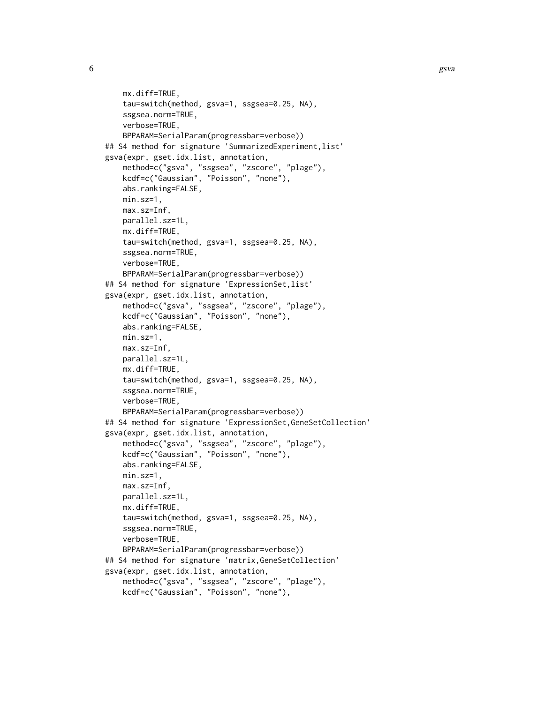```
mx.diff=TRUE,
    tau=switch(method, gsva=1, ssgsea=0.25, NA),
    ssgsea.norm=TRUE,
    verbose=TRUE,
    BPPARAM=SerialParam(progressbar=verbose))
## S4 method for signature 'SummarizedExperiment, list'
gsva(expr, gset.idx.list, annotation,
    method=c("gsva", "ssgsea", "zscore", "plage"),
    kcdf=c("Gaussian", "Poisson", "none"),
    abs.ranking=FALSE,
    min.sz=1,
    max.sz=Inf,
    parallel.sz=1L,
    mx.diff=TRUE,
    tau=switch(method, gsva=1, ssgsea=0.25, NA),
    ssgsea.norm=TRUE,
    verbose=TRUE,
    BPPARAM=SerialParam(progressbar=verbose))
## S4 method for signature 'ExpressionSet, list'
gsva(expr, gset.idx.list, annotation,
    method=c("gsva", "ssgsea", "zscore", "plage"),
    kcdf=c("Gaussian", "Poisson", "none"),
    abs.ranking=FALSE,
    min.sz=1,
   max.sz=Inf,
    parallel.sz=1L,
    mx.diff=TRUE,
    tau=switch(method, gsva=1, ssgsea=0.25, NA),
    ssgsea.norm=TRUE,
    verbose=TRUE,
    BPPARAM=SerialParam(progressbar=verbose))
## S4 method for signature 'ExpressionSet,GeneSetCollection'
gsva(expr, gset.idx.list, annotation,
    method=c("gsva", "ssgsea", "zscore", "plage"),
    kcdf=c("Gaussian", "Poisson", "none"),
    abs.ranking=FALSE,
    min.sz=1,
   max.sz=Inf,
    parallel.sz=1L,
    mx.diff=TRUE,
    tau=switch(method, gsva=1, ssgsea=0.25, NA),
    ssgsea.norm=TRUE,
    verbose=TRUE,
    BPPARAM=SerialParam(progressbar=verbose))
## S4 method for signature 'matrix,GeneSetCollection'
gsva(expr, gset.idx.list, annotation,
    method=c("gsva", "ssgsea", "zscore", "plage"),
    kcdf=c("Gaussian", "Poisson", "none"),
```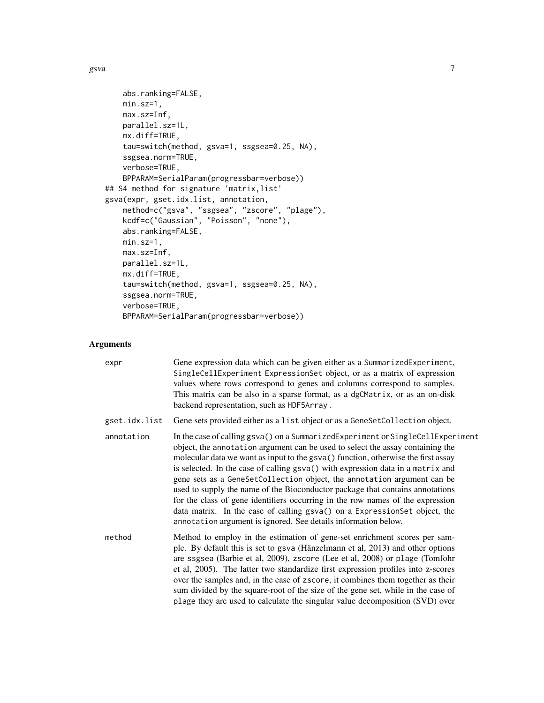```
abs.ranking=FALSE,
   min.sz=1,
   max.sz=Inf,
   parallel.sz=1L,
   mx.diff=TRUE,
    tau=switch(method, gsva=1, ssgsea=0.25, NA),
   ssgsea.norm=TRUE,
   verbose=TRUE,
   BPPARAM=SerialParam(progressbar=verbose))
## S4 method for signature 'matrix,list'
gsva(expr, gset.idx.list, annotation,
   method=c("gsva", "ssgsea", "zscore", "plage"),
   kcdf=c("Gaussian", "Poisson", "none"),
   abs.ranking=FALSE,
   min.sz=1,
   max.sz=Inf,
   parallel.sz=1L,
   mx.diff=TRUE,
    tau=switch(method, gsva=1, ssgsea=0.25, NA),
    ssgsea.norm=TRUE,
   verbose=TRUE,
   BPPARAM=SerialParam(progressbar=verbose))
```
# Arguments

| expr          | Gene expression data which can be given either as a SummarizedExperiment,<br>SingleCellExperiment ExpressionSet object, or as a matrix of expression<br>values where rows correspond to genes and columns correspond to samples.<br>This matrix can be also in a sparse format, as a dgCMatrix, or as an on-disk<br>backend representation, such as HDF5Array.                                                                                                                                                                                                                                                                                                                                                                         |
|---------------|----------------------------------------------------------------------------------------------------------------------------------------------------------------------------------------------------------------------------------------------------------------------------------------------------------------------------------------------------------------------------------------------------------------------------------------------------------------------------------------------------------------------------------------------------------------------------------------------------------------------------------------------------------------------------------------------------------------------------------------|
| gset.idx.list | Gene sets provided either as a list object or as a GeneSetCollection object.                                                                                                                                                                                                                                                                                                                                                                                                                                                                                                                                                                                                                                                           |
| annotation    | In the case of calling gsva() on a SummarizedExperiment or SingleCellExperiment<br>object, the annotation argument can be used to select the assay containing the<br>molecular data we want as input to the gsva() function, otherwise the first assay<br>is selected. In the case of calling gsva() with expression data in a matrix and<br>gene sets as a GeneSetCollection object, the annotation argument can be<br>used to supply the name of the Bioconductor package that contains annotations<br>for the class of gene identifiers occurring in the row names of the expression<br>data matrix. In the case of calling gsva() on a ExpressionSet object, the<br>annotation argument is ignored. See details information below. |
| method        | Method to employ in the estimation of gene-set enrichment scores per sam-<br>ple. By default this is set to gsva (Hänzelmann et al, 2013) and other options<br>are ssgsea (Barbie et al, 2009), zscore (Lee et al, 2008) or plage (Tomfohr<br>et al, 2005). The latter two standardize first expression profiles into z-scores<br>over the samples and, in the case of zscore, it combines them together as their<br>sum divided by the square-root of the size of the gene set, while in the case of<br>plage they are used to calculate the singular value decomposition (SVD) over                                                                                                                                                  |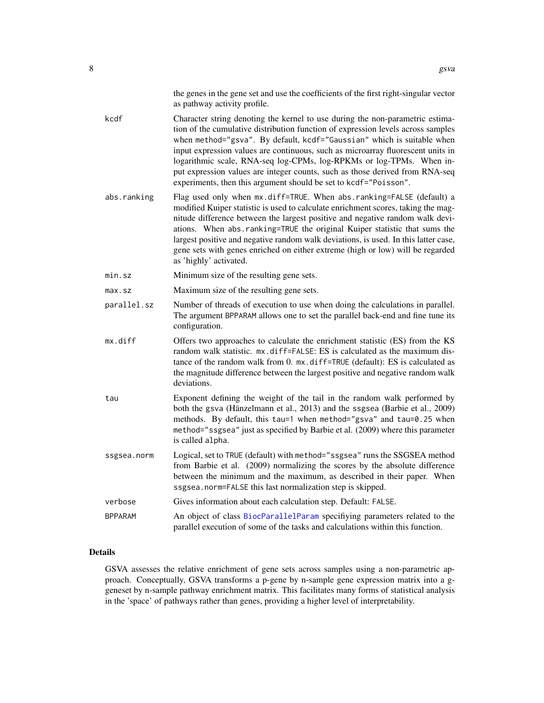|                              |  |  | the genes in the gene set and use the coefficients of the first right-singular vector |  |  |  |
|------------------------------|--|--|---------------------------------------------------------------------------------------|--|--|--|
| as pathway activity profile. |  |  |                                                                                       |  |  |  |

<span id="page-7-0"></span>kcdf Character string denoting the kernel to use during the non-parametric estimation of the cumulative distribution function of expression levels across samples when method="gsva". By default, kcdf="Gaussian" which is suitable when input expression values are continuous, such as microarray fluorescent units in logarithmic scale, RNA-seq log-CPMs, log-RPKMs or log-TPMs. When input expression values are integer counts, such as those derived from RNA-seq experiments, then this argument should be set to kcdf="Poisson".

- abs.ranking Flag used only when mx.diff=TRUE. When abs.ranking=FALSE (default) a modified Kuiper statistic is used to calculate enrichment scores, taking the magnitude difference between the largest positive and negative random walk deviations. When abs.ranking=TRUE the original Kuiper statistic that sums the largest positive and negative random walk deviations, is used. In this latter case, gene sets with genes enriched on either extreme (high or low) will be regarded as 'highly' activated.
- min.sz Minimum size of the resulting gene sets.
- max.sz Maximum size of the resulting gene sets.
- parallel.sz Number of threads of execution to use when doing the calculations in parallel. The argument BPPARAM allows one to set the parallel back-end and fine tune its configuration.
- mx.diff Offers two approaches to calculate the enrichment statistic (ES) from the KS random walk statistic. mx.diff=FALSE: ES is calculated as the maximum distance of the random walk from 0. mx.diff=TRUE (default): ES is calculated as the magnitude difference between the largest positive and negative random walk deviations.
- tau Exponent defining the weight of the tail in the random walk performed by both the gsva (Hänzelmann et al., 2013) and the ssgsea (Barbie et al., 2009) methods. By default, this tau=1 when method="gsva" and tau=0.25 when method="ssgsea" just as specified by Barbie et al. (2009) where this parameter is called alpha.
- ssgsea.norm Logical, set to TRUE (default) with method="ssgsea" runs the SSGSEA method from Barbie et al. (2009) normalizing the scores by the absolute difference between the minimum and the maximum, as described in their paper. When ssgsea.norm=FALSE this last normalization step is skipped.

#### verbose Gives information about each calculation step. Default: FALSE.

BPPARAM An object of class [BiocParallelParam](#page-0-0) specifiying parameters related to the parallel execution of some of the tasks and calculations within this function.

#### Details

GSVA assesses the relative enrichment of gene sets across samples using a non-parametric approach. Conceptually, GSVA transforms a p-gene by n-sample gene expression matrix into a ggeneset by n-sample pathway enrichment matrix. This facilitates many forms of statistical analysis in the 'space' of pathways rather than genes, providing a higher level of interpretability.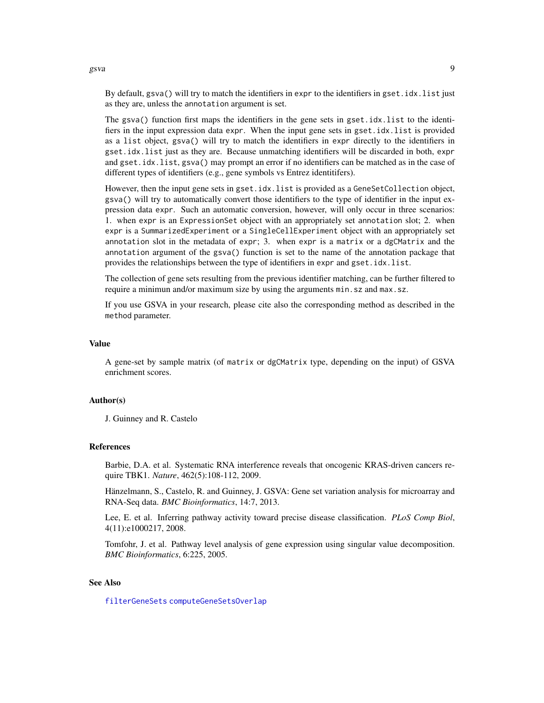By default, gsva() will try to match the identifiers in expr to the identifiers in gset.idx.list just as they are, unless the annotation argument is set.

The gsva() function first maps the identifiers in the gene sets in gset.idx.list to the identifiers in the input expression data expr. When the input gene sets in gset.idx.list is provided as a list object, gsva() will try to match the identifiers in expr directly to the identifiers in gset.idx.list just as they are. Because unmatching identifiers will be discarded in both, expr and gset.idx.list, gsva() may prompt an error if no identifiers can be matched as in the case of different types of identifiers (e.g., gene symbols vs Entrez identitifers).

However, then the input gene sets in gset.idx.list is provided as a GeneSetCollection object, gsva() will try to automatically convert those identifiers to the type of identifier in the input expression data expr. Such an automatic conversion, however, will only occur in three scenarios: 1. when expr is an ExpressionSet object with an appropriately set annotation slot; 2. when expr is a SummarizedExperiment or a SingleCellExperiment object with an appropriately set annotation slot in the metadata of expr; 3. when expr is a matrix or a dgCMatrix and the annotation argument of the gsva() function is set to the name of the annotation package that provides the relationships between the type of identifiers in expr and gset.idx.list.

The collection of gene sets resulting from the previous identifier matching, can be further filtered to require a minimun and/or maximum size by using the arguments min.sz and max.sz.

If you use GSVA in your research, please cite also the corresponding method as described in the method parameter.

#### Value

A gene-set by sample matrix (of matrix or dgCMatrix type, depending on the input) of GSVA enrichment scores.

#### Author(s)

J. Guinney and R. Castelo

#### References

Barbie, D.A. et al. Systematic RNA interference reveals that oncogenic KRAS-driven cancers require TBK1. *Nature*, 462(5):108-112, 2009.

Hänzelmann, S., Castelo, R. and Guinney, J. GSVA: Gene set variation analysis for microarray and RNA-Seq data. *BMC Bioinformatics*, 14:7, 2013.

Lee, E. et al. Inferring pathway activity toward precise disease classification. *PLoS Comp Biol*, 4(11):e1000217, 2008.

Tomfohr, J. et al. Pathway level analysis of gene expression using singular value decomposition. *BMC Bioinformatics*, 6:225, 2005.

# See Also

[filterGeneSets](#page-2-1) [computeGeneSetsOverlap](#page-1-1)

<span id="page-8-0"></span>gsva **9**9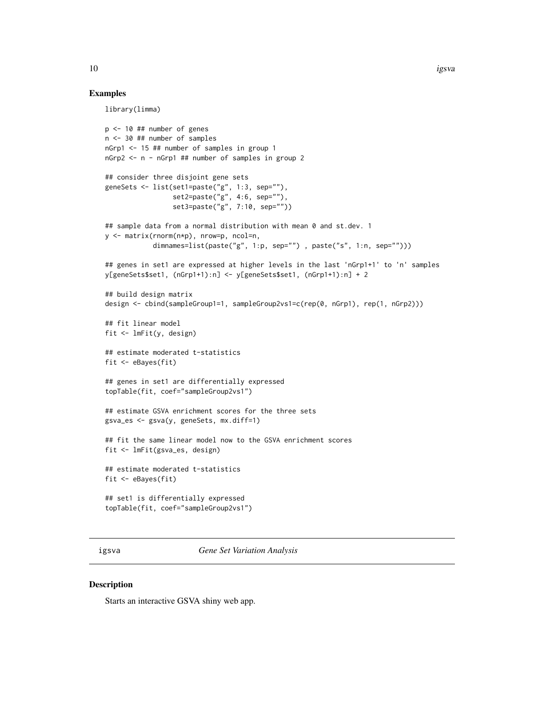#### Examples

library(limma)

```
p \le -10 ## number of genes
n <- 30 ## number of samples
nGrp1 <- 15 ## number of samples in group 1
nGrp2 <- n - nGrp1 ## number of samples in group 2
## consider three disjoint gene sets
geneSets <- list(set1=paste("g", 1:3, sep=""),
                 set2=paste("g", 4:6, sep=""),
                 set3=paste("g", 7:10, sep=""))
## sample data from a normal distribution with mean 0 and st.dev. 1
y <- matrix(rnorm(n*p), nrow=p, ncol=n,
            dimnames=list(paste("g", 1:p, sep=""), paste("s", 1:n, sep="")))
## genes in set1 are expressed at higher levels in the last 'nGrp1+1' to 'n' samples
y[geneSets$set1, (nGrp1+1):n] <- y[geneSets$set1, (nGrp1+1):n] + 2
## build design matrix
design <- cbind(sampleGroup1=1, sampleGroup2vs1=c(rep(0, nGrp1), rep(1, nGrp2)))
## fit linear model
fit <- lmFit(y, design)
## estimate moderated t-statistics
fit <- eBayes(fit)
## genes in set1 are differentially expressed
topTable(fit, coef="sampleGroup2vs1")
## estimate GSVA enrichment scores for the three sets
gsva_es <- gsva(y, geneSets, mx.diff=1)
## fit the same linear model now to the GSVA enrichment scores
fit <- lmFit(gsva_es, design)
## estimate moderated t-statistics
fit <- eBayes(fit)
## set1 is differentially expressed
topTable(fit, coef="sampleGroup2vs1")
```
igsva *Gene Set Variation Analysis*

#### Description

Starts an interactive GSVA shiny web app.

<span id="page-9-0"></span>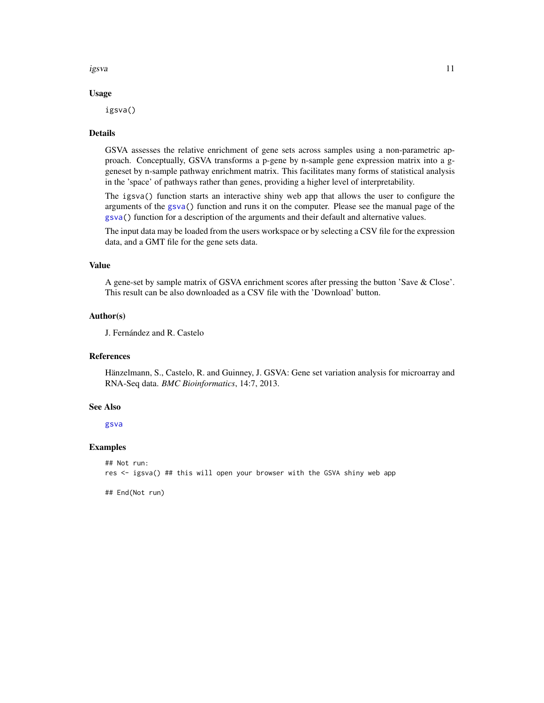<span id="page-10-0"></span>igsva 11

#### Usage

igsva()

#### Details

GSVA assesses the relative enrichment of gene sets across samples using a non-parametric approach. Conceptually, GSVA transforms a p-gene by n-sample gene expression matrix into a ggeneset by n-sample pathway enrichment matrix. This facilitates many forms of statistical analysis in the 'space' of pathways rather than genes, providing a higher level of interpretability.

The igsva() function starts an interactive shiny web app that allows the user to configure the arguments of the [gsva\(](#page-3-1)) function and runs it on the computer. Please see the manual page of the [gsva\(](#page-3-1)) function for a description of the arguments and their default and alternative values.

The input data may be loaded from the users workspace or by selecting a CSV file for the expression data, and a GMT file for the gene sets data.

# Value

A gene-set by sample matrix of GSVA enrichment scores after pressing the button 'Save & Close'. This result can be also downloaded as a CSV file with the 'Download' button.

#### Author(s)

J. Fernández and R. Castelo

# References

Hänzelmann, S., Castelo, R. and Guinney, J. GSVA: Gene set variation analysis for microarray and RNA-Seq data. *BMC Bioinformatics*, 14:7, 2013.

#### See Also

[gsva](#page-3-1)

#### Examples

```
## Not run:
res <- igsva() ## this will open your browser with the GSVA shiny web app
```
## End(Not run)